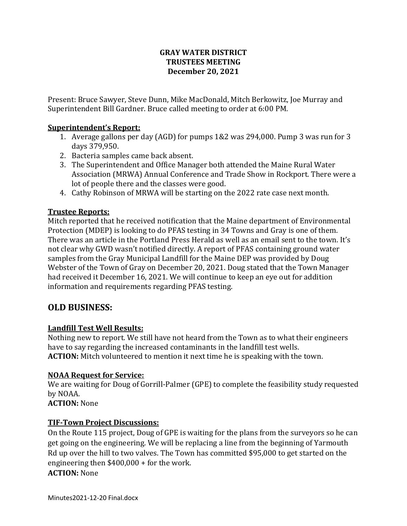### **GRAY WATER DISTRICT TRUSTEES MEETING December 20, 2021**

Present: Bruce Sawyer, Steve Dunn, Mike MacDonald, Mitch Berkowitz, Joe Murray and Superintendent Bill Gardner. Bruce called meeting to order at 6:00 PM.

### **Superintendent's Report:**

- 1. Average gallons per day (AGD) for pumps 1&2 was 294,000. Pump 3 was run for 3 days 379,950.
- 2. Bacteria samples came back absent.
- 3. The Superintendent and Office Manager both attended the Maine Rural Water Association (MRWA) Annual Conference and Trade Show in Rockport. There were a lot of people there and the classes were good.
- 4. Cathy Robinson of MRWA will be starting on the 2022 rate case next month.

## **Trustee Reports:**

Mitch reported that he received notification that the Maine department of Environmental Protection (MDEP) is looking to do PFAS testing in 34 Towns and Gray is one of them. There was an article in the Portland Press Herald as well as an email sent to the town. It's not clear why GWD wasn't notified directly. A report of PFAS containing ground water samples from the Gray Municipal Landfill for the Maine DEP was provided by Doug Webster of the Town of Gray on December 20, 2021. Doug stated that the Town Manager had received it December 16, 2021. We will continue to keep an eye out for addition information and requirements regarding PFAS testing.

# **OLD BUSINESS:**

### **Landfill Test Well Results:**

Nothing new to report. We still have not heard from the Town as to what their engineers have to say regarding the increased contaminants in the landfill test wells. **ACTION:** Mitch volunteered to mention it next time he is speaking with the town.

### **NOAA Request for Service:**

We are waiting for Doug of Gorrill-Palmer (GPE) to complete the feasibility study requested by NOAA.

**ACTION:** None

### **TIF-Town Project Discussions:**

On the Route 115 project, Doug of GPE is waiting for the plans from the surveyors so he can get going on the engineering. We will be replacing a line from the beginning of Yarmouth Rd up over the hill to two valves. The Town has committed \$95,000 to get started on the engineering then \$400,000 + for the work. **ACTION:** None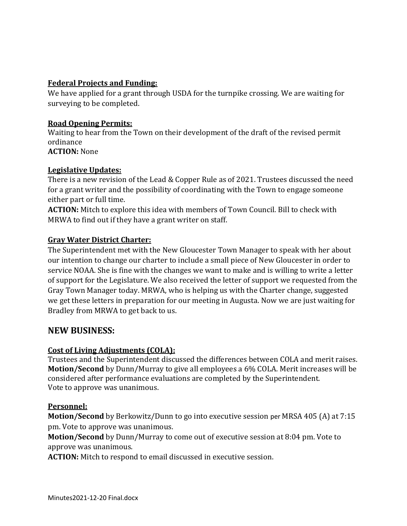### **Federal Projects and Funding:**

We have applied for a grant through USDA for the turnpike crossing. We are waiting for surveying to be completed.

### **Road Opening Permits:**

Waiting to hear from the Town on their development of the draft of the revised permit ordinance **ACTION:** None

# **Legislative Updates:**

There is a new revision of the Lead & Copper Rule as of 2021. Trustees discussed the need for a grant writer and the possibility of coordinating with the Town to engage someone either part or full time.

**ACTION:** Mitch to explore this idea with members of Town Council. Bill to check with MRWA to find out if they have a grant writer on staff.

### **Gray Water District Charter:**

The Superintendent met with the New Gloucester Town Manager to speak with her about our intention to change our charter to include a small piece of New Gloucester in order to service NOAA. She is fine with the changes we want to make and is willing to write a letter of support for the Legislature. We also received the letter of support we requested from the Gray Town Manager today. MRWA, who is helping us with the Charter change, suggested we get these letters in preparation for our meeting in Augusta. Now we are just waiting for Bradley from MRWA to get back to us.

## **NEW BUSINESS:**

### **Cost of Living Adjustments (COLA):**

Trustees and the Superintendent discussed the differences between COLA and merit raises. **Motion/Second** by Dunn/Murray to give all employees a 6% COLA. Merit increases will be considered after performance evaluations are completed by the Superintendent. Vote to approve was unanimous.

### **Personnel:**

**Motion/Second** by Berkowitz/Dunn to go into executive session per MRSA 405 (A) at 7:15 pm. Vote to approve was unanimous.

**Motion/Second** by Dunn/Murray to come out of executive session at 8:04 pm. Vote to approve was unanimous.

**ACTION:** Mitch to respond to email discussed in executive session.